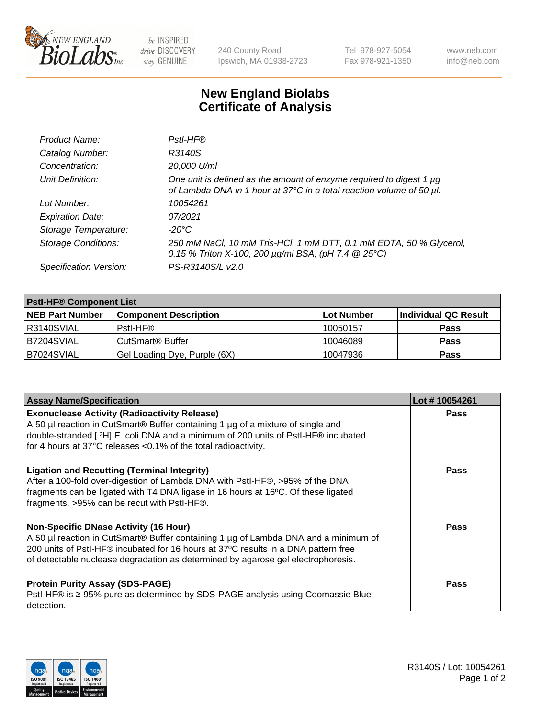

 $be$  INSPIRED drive DISCOVERY stay GENUINE

240 County Road Ipswich, MA 01938-2723 Tel 978-927-5054 Fax 978-921-1350 www.neb.com info@neb.com

## **New England Biolabs Certificate of Analysis**

| Product Name:              | Pstl-HF®                                                                                                                                             |
|----------------------------|------------------------------------------------------------------------------------------------------------------------------------------------------|
| Catalog Number:            | R3140S                                                                                                                                               |
| Concentration:             | 20,000 U/ml                                                                                                                                          |
| Unit Definition:           | One unit is defined as the amount of enzyme required to digest 1 µg<br>of Lambda DNA in 1 hour at 37°C in a total reaction volume of 50 µl.          |
| Lot Number:                | 10054261                                                                                                                                             |
| <b>Expiration Date:</b>    | 07/2021                                                                                                                                              |
| Storage Temperature:       | -20°C                                                                                                                                                |
| <b>Storage Conditions:</b> | 250 mM NaCl, 10 mM Tris-HCl, 1 mM DTT, 0.1 mM EDTA, 50 % Glycerol,<br>0.15 % Triton X-100, 200 $\mu$ g/ml BSA, (pH 7.4 $\textcircled{25}^{\circ}$ C) |
| Specification Version:     | PS-R3140S/L v2.0                                                                                                                                     |

| <b>PstI-HF® Component List</b> |                              |            |                      |  |
|--------------------------------|------------------------------|------------|----------------------|--|
| <b>NEB Part Number</b>         | <b>Component Description</b> | Lot Number | Individual QC Result |  |
| R3140SVIAL                     | Pstl-HF®                     | 10050157   | <b>Pass</b>          |  |
| IB7204SVIAL                    | CutSmart® Buffer             | 10046089   | <b>Pass</b>          |  |
| B7024SVIAL                     | Gel Loading Dye, Purple (6X) | 10047936   | <b>Pass</b>          |  |

| <b>Assay Name/Specification</b>                                                                                                                                                                                                                                                                        | Lot #10054261 |
|--------------------------------------------------------------------------------------------------------------------------------------------------------------------------------------------------------------------------------------------------------------------------------------------------------|---------------|
| <b>Exonuclease Activity (Radioactivity Release)</b><br>A 50 µl reaction in CutSmart® Buffer containing 1 µg of a mixture of single and                                                                                                                                                                 | <b>Pass</b>   |
| double-stranded [3H] E. coli DNA and a minimum of 200 units of PstI-HF® incubated<br>for 4 hours at 37°C releases <0.1% of the total radioactivity.                                                                                                                                                    |               |
| <b>Ligation and Recutting (Terminal Integrity)</b><br>After a 100-fold over-digestion of Lambda DNA with PstI-HF®, >95% of the DNA<br>fragments can be ligated with T4 DNA ligase in 16 hours at 16°C. Of these ligated<br>fragments, >95% can be recut with Pstl-HF®.                                 | Pass          |
| Non-Specific DNase Activity (16 Hour)<br>A 50 µl reaction in CutSmart® Buffer containing 1 µg of Lambda DNA and a minimum of<br>200 units of PstI-HF® incubated for 16 hours at 37°C results in a DNA pattern free<br>of detectable nuclease degradation as determined by agarose gel electrophoresis. | <b>Pass</b>   |
| <b>Protein Purity Assay (SDS-PAGE)</b><br>PstI-HF® is ≥ 95% pure as determined by SDS-PAGE analysis using Coomassie Blue<br>I detection.                                                                                                                                                               | Pass          |